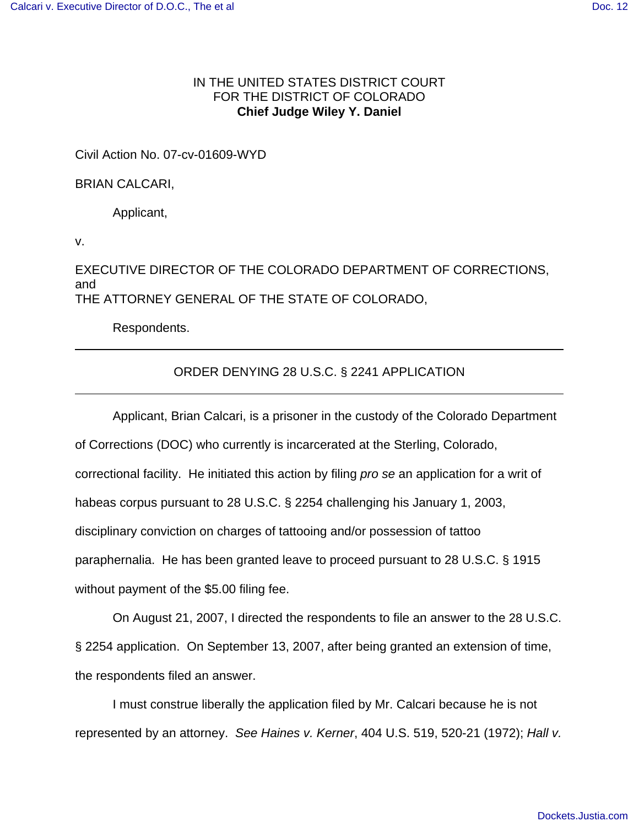# IN THE UNITED STATES DISTRICT COURT FOR THE DISTRICT OF COLORADO **Chief Judge Wiley Y. Daniel**

Civil Action No. 07-cv-01609-WYD

BRIAN CALCARI,

Applicant,

v.

EXECUTIVE DIRECTOR OF THE COLORADO DEPARTMENT OF CORRECTIONS, and THE ATTORNEY GENERAL OF THE STATE OF COLORADO,

Respondents.

# ORDER DENYING 28 U.S.C. § 2241 APPLICATION

Applicant, Brian Calcari, is a prisoner in the custody of the Colorado Department of Corrections (DOC) who currently is incarcerated at the Sterling, Colorado, correctional facility. He initiated this action by filing *pro se* an application for a writ of habeas corpus pursuant to 28 U.S.C. § 2254 challenging his January 1, 2003, disciplinary conviction on charges of tattooing and/or possession of tattoo paraphernalia. He has been granted leave to proceed pursuant to 28 U.S.C. § 1915 without payment of the \$5.00 filing fee.

On August 21, 2007, I directed the respondents to file an answer to the 28 U.S.C. § 2254 application. On September 13, 2007, after being granted an extension of time, the respondents filed an answer.

I must construe liberally the application filed by Mr. Calcari because he is not represented by an attorney. *See Haines v. Kerner*, 404 U.S. 519, 520-21 (1972); *Hall v.*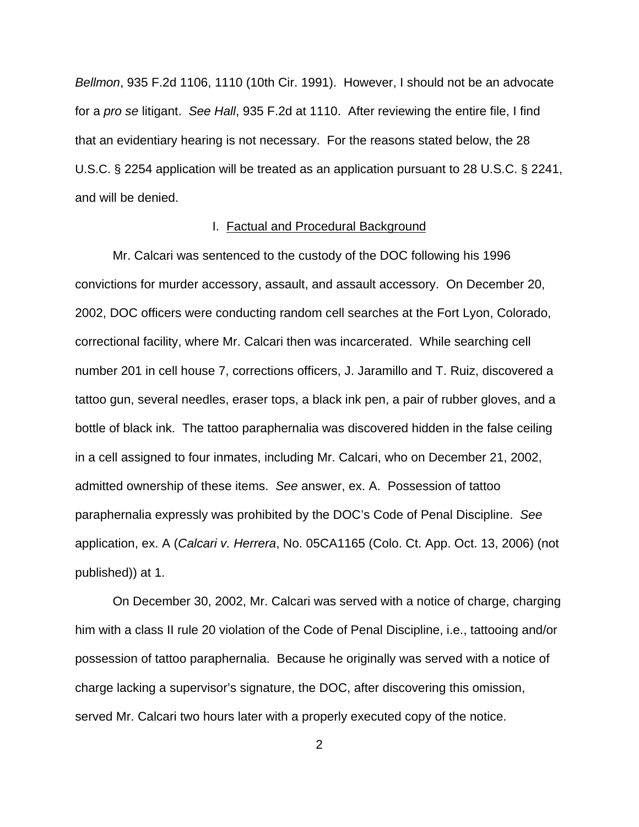*Bellmon*, 935 F.2d 1106, 1110 (10th Cir. 1991). However, I should not be an advocate for a *pro se* litigant. *See Hall*, 935 F.2d at 1110. After reviewing the entire file, I find that an evidentiary hearing is not necessary. For the reasons stated below, the 28 U.S.C. § 2254 application will be treated as an application pursuant to 28 U.S.C. § 2241, and will be denied.

### I. Factual and Procedural Background

Mr. Calcari was sentenced to the custody of the DOC following his 1996 convictions for murder accessory, assault, and assault accessory. On December 20, 2002, DOC officers were conducting random cell searches at the Fort Lyon, Colorado, correctional facility, where Mr. Calcari then was incarcerated. While searching cell number 201 in cell house 7, corrections officers, J. Jaramillo and T. Ruiz, discovered a tattoo gun, several needles, eraser tops, a black ink pen, a pair of rubber gloves, and a bottle of black ink. The tattoo paraphernalia was discovered hidden in the false ceiling in a cell assigned to four inmates, including Mr. Calcari, who on December 21, 2002, admitted ownership of these items. *See* answer, ex. A. Possession of tattoo paraphernalia expressly was prohibited by the DOC's Code of Penal Discipline. *See* application, ex. A (*Calcari v. Herrera*, No. 05CA1165 (Colo. Ct. App. Oct. 13, 2006) (not published)) at 1.

On December 30, 2002, Mr. Calcari was served with a notice of charge, charging him with a class II rule 20 violation of the Code of Penal Discipline, i.e., tattooing and/or possession of tattoo paraphernalia. Because he originally was served with a notice of charge lacking a supervisor's signature, the DOC, after discovering this omission, served Mr. Calcari two hours later with a properly executed copy of the notice.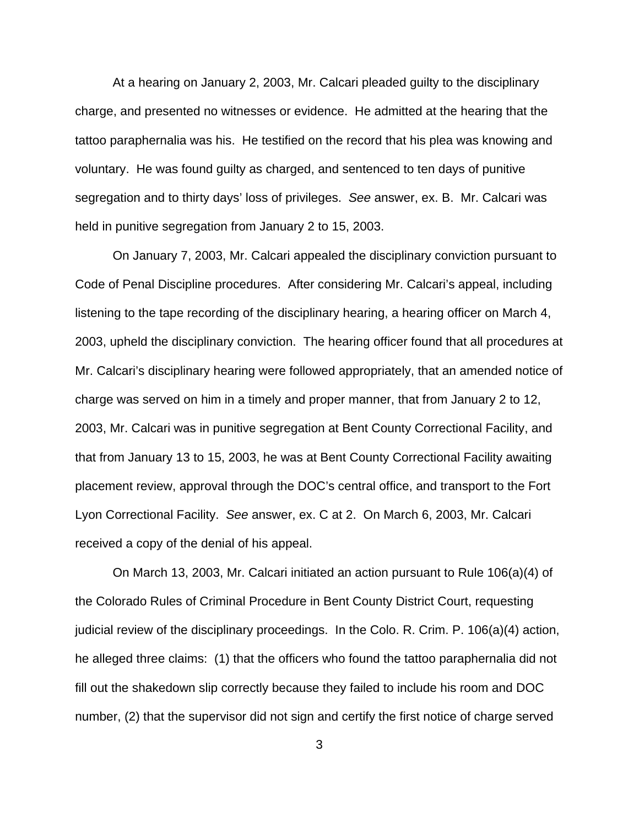At a hearing on January 2, 2003, Mr. Calcari pleaded guilty to the disciplinary charge, and presented no witnesses or evidence. He admitted at the hearing that the tattoo paraphernalia was his. He testified on the record that his plea was knowing and voluntary. He was found guilty as charged, and sentenced to ten days of punitive segregation and to thirty days' loss of privileges. *See* answer, ex. B. Mr. Calcari was held in punitive segregation from January 2 to 15, 2003.

On January 7, 2003, Mr. Calcari appealed the disciplinary conviction pursuant to Code of Penal Discipline procedures. After considering Mr. Calcari's appeal, including listening to the tape recording of the disciplinary hearing, a hearing officer on March 4, 2003, upheld the disciplinary conviction. The hearing officer found that all procedures at Mr. Calcari's disciplinary hearing were followed appropriately, that an amended notice of charge was served on him in a timely and proper manner, that from January 2 to 12, 2003, Mr. Calcari was in punitive segregation at Bent County Correctional Facility, and that from January 13 to 15, 2003, he was at Bent County Correctional Facility awaiting placement review, approval through the DOC's central office, and transport to the Fort Lyon Correctional Facility. *See* answer, ex. C at 2. On March 6, 2003, Mr. Calcari received a copy of the denial of his appeal.

On March 13, 2003, Mr. Calcari initiated an action pursuant to Rule 106(a)(4) of the Colorado Rules of Criminal Procedure in Bent County District Court, requesting judicial review of the disciplinary proceedings. In the Colo. R. Crim. P. 106(a)(4) action, he alleged three claims: (1) that the officers who found the tattoo paraphernalia did not fill out the shakedown slip correctly because they failed to include his room and DOC number, (2) that the supervisor did not sign and certify the first notice of charge served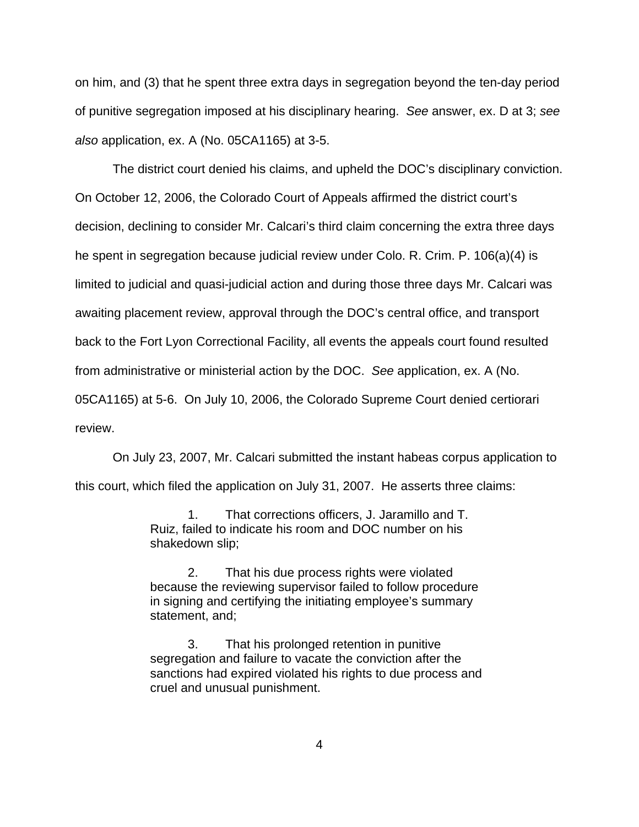on him, and (3) that he spent three extra days in segregation beyond the ten-day period of punitive segregation imposed at his disciplinary hearing. *See* answer, ex. D at 3; *see also* application, ex. A (No. 05CA1165) at 3-5.

The district court denied his claims, and upheld the DOC's disciplinary conviction. On October 12, 2006, the Colorado Court of Appeals affirmed the district court's decision, declining to consider Mr. Calcari's third claim concerning the extra three days he spent in segregation because judicial review under Colo. R. Crim. P. 106(a)(4) is limited to judicial and quasi-judicial action and during those three days Mr. Calcari was awaiting placement review, approval through the DOC's central office, and transport back to the Fort Lyon Correctional Facility, all events the appeals court found resulted from administrative or ministerial action by the DOC. *See* application, ex. A (No. 05CA1165) at 5-6. On July 10, 2006, the Colorado Supreme Court denied certiorari review.

On July 23, 2007, Mr. Calcari submitted the instant habeas corpus application to this court, which filed the application on July 31, 2007. He asserts three claims:

> 1. That corrections officers, J. Jaramillo and T. Ruiz, failed to indicate his room and DOC number on his shakedown slip;

2. That his due process rights were violated because the reviewing supervisor failed to follow procedure in signing and certifying the initiating employee's summary statement, and;

3. That his prolonged retention in punitive segregation and failure to vacate the conviction after the sanctions had expired violated his rights to due process and cruel and unusual punishment.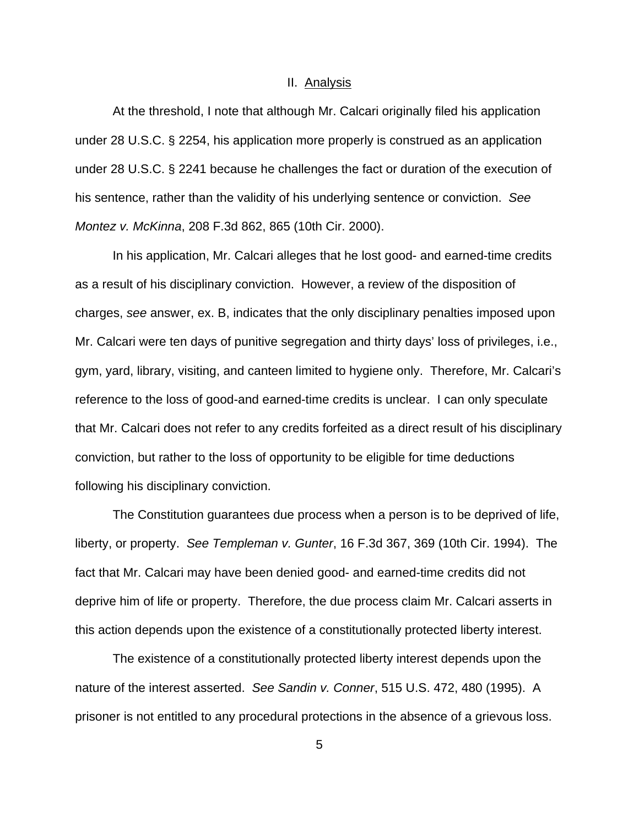#### II. Analysis

At the threshold, I note that although Mr. Calcari originally filed his application under 28 U.S.C. § 2254, his application more properly is construed as an application under 28 U.S.C. § 2241 because he challenges the fact or duration of the execution of his sentence, rather than the validity of his underlying sentence or conviction. *See Montez v. McKinna*, 208 F.3d 862, 865 (10th Cir. 2000).

In his application, Mr. Calcari alleges that he lost good- and earned-time credits as a result of his disciplinary conviction. However, a review of the disposition of charges, *see* answer, ex. B, indicates that the only disciplinary penalties imposed upon Mr. Calcari were ten days of punitive segregation and thirty days' loss of privileges, i.e., gym, yard, library, visiting, and canteen limited to hygiene only. Therefore, Mr. Calcari's reference to the loss of good-and earned-time credits is unclear. I can only speculate that Mr. Calcari does not refer to any credits forfeited as a direct result of his disciplinary conviction, but rather to the loss of opportunity to be eligible for time deductions following his disciplinary conviction.

The Constitution guarantees due process when a person is to be deprived of life, liberty, or property. *See Templeman v. Gunter*, 16 F.3d 367, 369 (10th Cir. 1994). The fact that Mr. Calcari may have been denied good- and earned-time credits did not deprive him of life or property. Therefore, the due process claim Mr. Calcari asserts in this action depends upon the existence of a constitutionally protected liberty interest.

The existence of a constitutionally protected liberty interest depends upon the nature of the interest asserted. *See Sandin v. Conner*, 515 U.S. 472, 480 (1995). A prisoner is not entitled to any procedural protections in the absence of a grievous loss.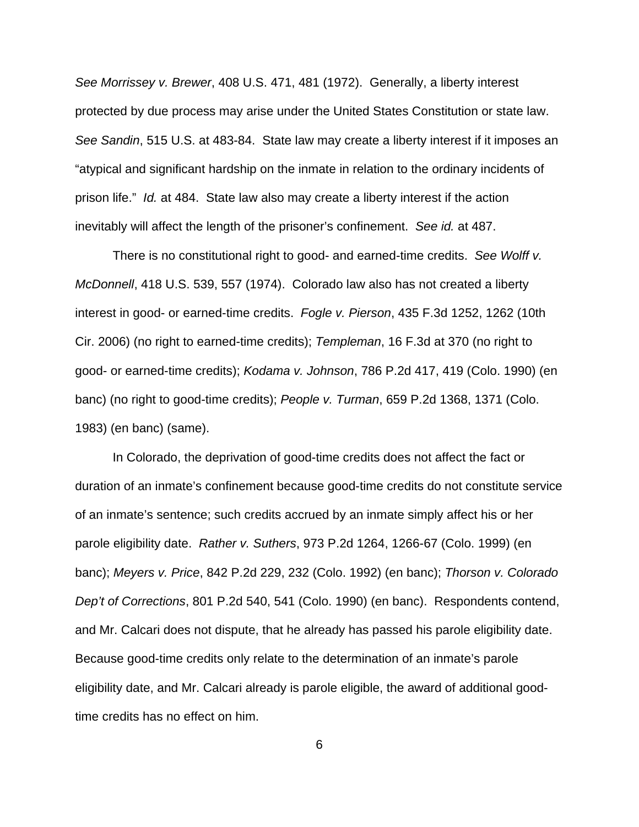*See Morrissey v. Brewer*, 408 U.S. 471, 481 (1972). Generally, a liberty interest protected by due process may arise under the United States Constitution or state law. *See Sandin*, 515 U.S. at 483-84. State law may create a liberty interest if it imposes an "atypical and significant hardship on the inmate in relation to the ordinary incidents of prison life." *Id.* at 484. State law also may create a liberty interest if the action inevitably will affect the length of the prisoner's confinement. *See id.* at 487.

There is no constitutional right to good- and earned-time credits. *See Wolff v. McDonnell*, 418 U.S. 539, 557 (1974). Colorado law also has not created a liberty interest in good- or earned-time credits. *Fogle v. Pierson*, 435 F.3d 1252, 1262 (10th Cir. 2006) (no right to earned-time credits); *Templeman*, 16 F.3d at 370 (no right to good- or earned-time credits); *Kodama v. Johnson*, 786 P.2d 417, 419 (Colo. 1990) (en banc) (no right to good-time credits); *People v. Turman*, 659 P.2d 1368, 1371 (Colo. 1983) (en banc) (same).

In Colorado, the deprivation of good-time credits does not affect the fact or duration of an inmate's confinement because good-time credits do not constitute service of an inmate's sentence; such credits accrued by an inmate simply affect his or her parole eligibility date. *Rather v. Suthers*, 973 P.2d 1264, 1266-67 (Colo. 1999) (en banc); *Meyers v. Price*, 842 P.2d 229, 232 (Colo. 1992) (en banc); *Thorson v. Colorado Dep't of Corrections*, 801 P.2d 540, 541 (Colo. 1990) (en banc). Respondents contend, and Mr. Calcari does not dispute, that he already has passed his parole eligibility date. Because good-time credits only relate to the determination of an inmate's parole eligibility date, and Mr. Calcari already is parole eligible, the award of additional goodtime credits has no effect on him.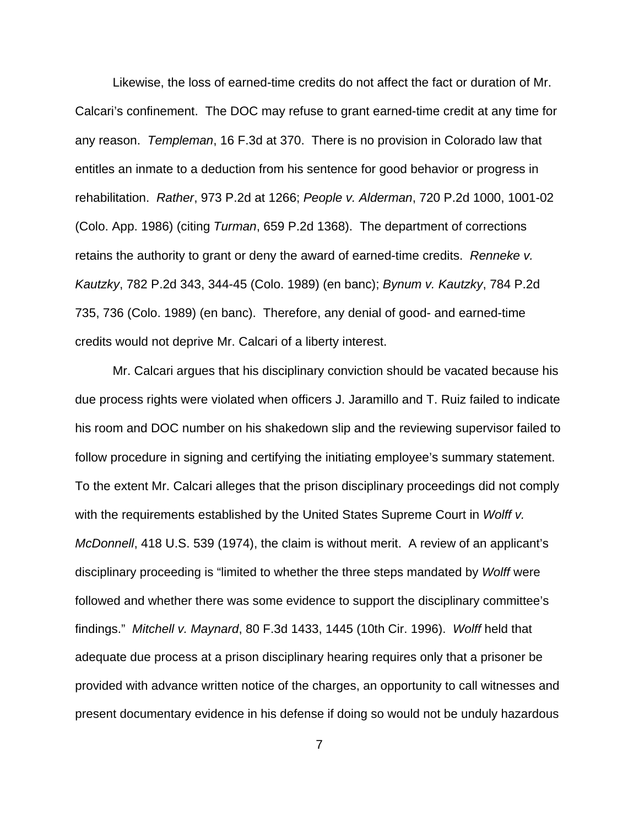Likewise, the loss of earned-time credits do not affect the fact or duration of Mr. Calcari's confinement. The DOC may refuse to grant earned-time credit at any time for any reason. *Templeman*, 16 F.3d at 370. There is no provision in Colorado law that entitles an inmate to a deduction from his sentence for good behavior or progress in rehabilitation. *Rather*, 973 P.2d at 1266; *People v. Alderman*, 720 P.2d 1000, 1001-02 (Colo. App. 1986) (citing *Turman*, 659 P.2d 1368). The department of corrections retains the authority to grant or deny the award of earned-time credits. *Renneke v. Kautzky*, 782 P.2d 343, 344-45 (Colo. 1989) (en banc); *Bynum v. Kautzky*, 784 P.2d 735, 736 (Colo. 1989) (en banc). Therefore, any denial of good- and earned-time credits would not deprive Mr. Calcari of a liberty interest.

Mr. Calcari argues that his disciplinary conviction should be vacated because his due process rights were violated when officers J. Jaramillo and T. Ruiz failed to indicate his room and DOC number on his shakedown slip and the reviewing supervisor failed to follow procedure in signing and certifying the initiating employee's summary statement. To the extent Mr. Calcari alleges that the prison disciplinary proceedings did not comply with the requirements established by the United States Supreme Court in *Wolff v. McDonnell*, 418 U.S. 539 (1974), the claim is without merit. A review of an applicant's disciplinary proceeding is "limited to whether the three steps mandated by *Wolff* were followed and whether there was some evidence to support the disciplinary committee's findings." *Mitchell v. Maynard*, 80 F.3d 1433, 1445 (10th Cir. 1996). *Wolff* held that adequate due process at a prison disciplinary hearing requires only that a prisoner be provided with advance written notice of the charges, an opportunity to call witnesses and present documentary evidence in his defense if doing so would not be unduly hazardous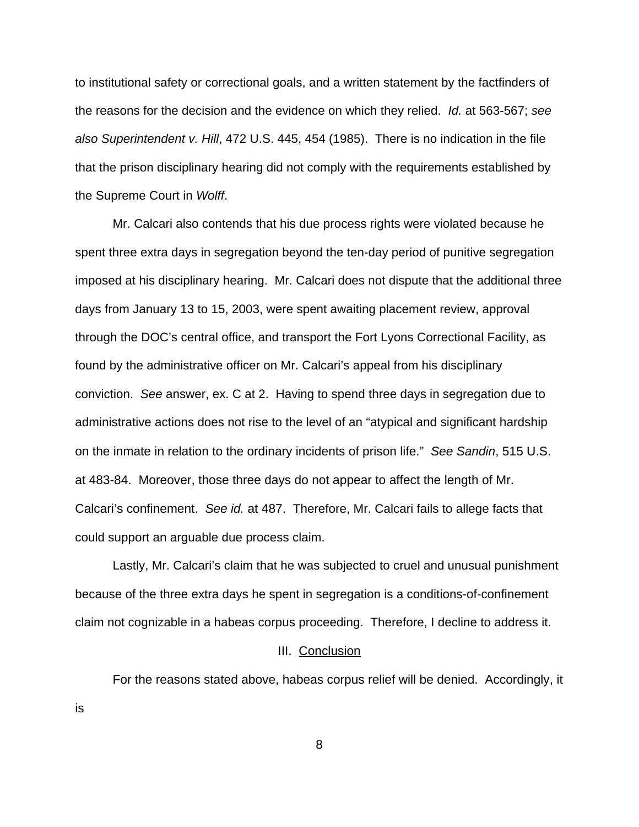to institutional safety or correctional goals, and a written statement by the factfinders of the reasons for the decision and the evidence on which they relied. *Id.* at 563-567; *see also Superintendent v. Hill*, 472 U.S. 445, 454 (1985). There is no indication in the file that the prison disciplinary hearing did not comply with the requirements established by the Supreme Court in *Wolff*.

Mr. Calcari also contends that his due process rights were violated because he spent three extra days in segregation beyond the ten-day period of punitive segregation imposed at his disciplinary hearing. Mr. Calcari does not dispute that the additional three days from January 13 to 15, 2003, were spent awaiting placement review, approval through the DOC's central office, and transport the Fort Lyons Correctional Facility, as found by the administrative officer on Mr. Calcari's appeal from his disciplinary conviction. *See* answer, ex. C at 2. Having to spend three days in segregation due to administrative actions does not rise to the level of an "atypical and significant hardship on the inmate in relation to the ordinary incidents of prison life." *See Sandin*, 515 U.S. at 483-84. Moreover, those three days do not appear to affect the length of Mr. Calcari's confinement. *See id.* at 487. Therefore, Mr. Calcari fails to allege facts that could support an arguable due process claim.

Lastly, Mr. Calcari's claim that he was subjected to cruel and unusual punishment because of the three extra days he spent in segregation is a conditions-of-confinement claim not cognizable in a habeas corpus proceeding. Therefore, I decline to address it.

### III. Conclusion

For the reasons stated above, habeas corpus relief will be denied. Accordingly, it

8

is